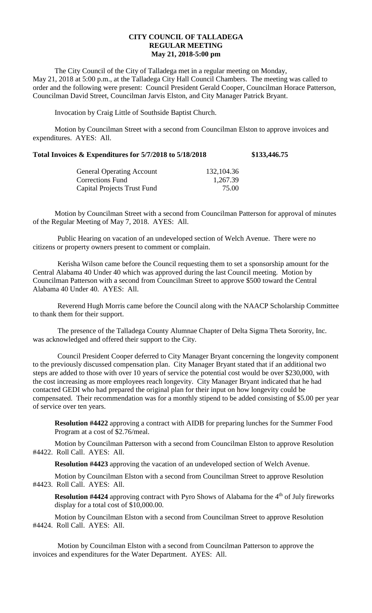## **CITY COUNCIL OF TALLADEGA REGULAR MEETING May 21, 2018-5:00 pm**

The City Council of the City of Talladega met in a regular meeting on Monday, May 21, 2018 at 5:00 p.m., at the Talladega City Hall Council Chambers. The meeting was called to order and the following were present: Council President Gerald Cooper, Councilman Horace Patterson, Councilman David Street, Councilman Jarvis Elston, and City Manager Patrick Bryant.

Invocation by Craig Little of Southside Baptist Church.

Motion by Councilman Street with a second from Councilman Elston to approve invoices and expenditures. AYES: All.

|  | Total Invoices & Expenditures for 5/7/2018 to 5/18/2018 |  | \$133,446.75 |
|--|---------------------------------------------------------|--|--------------|
|--|---------------------------------------------------------|--|--------------|

| <b>General Operating Account</b> | 132,104.36 |
|----------------------------------|------------|
| Corrections Fund                 | 1,267.39   |
| Capital Projects Trust Fund      | 75.00      |

Motion by Councilman Street with a second from Councilman Patterson for approval of minutes of the Regular Meeting of May 7, 2018. AYES: All.

Public Hearing on vacation of an undeveloped section of Welch Avenue. There were no citizens or property owners present to comment or complain.

Kerisha Wilson came before the Council requesting them to set a sponsorship amount for the Central Alabama 40 Under 40 which was approved during the last Council meeting. Motion by Councilman Patterson with a second from Councilman Street to approve \$500 toward the Central Alabama 40 Under 40. AYES: All.

Reverend Hugh Morris came before the Council along with the NAACP Scholarship Committee to thank them for their support.

The presence of the Talladega County Alumnae Chapter of Delta Sigma Theta Sorority, Inc. was acknowledged and offered their support to the City.

Council President Cooper deferred to City Manager Bryant concerning the longevity component to the previously discussed compensation plan. City Manager Bryant stated that if an additional two steps are added to those with over 10 years of service the potential cost would be over \$230,000, with the cost increasing as more employees reach longevity. City Manager Bryant indicated that he had contacted GEDI who had prepared the original plan for their input on how longevity could be compensated. Their recommendation was for a monthly stipend to be added consisting of \$5.00 per year of service over ten years.

**Resolution #4422** approving a contract with AIDB for preparing lunches for the Summer Food Program at a cost of \$2.76/meal.

Motion by Councilman Patterson with a second from Councilman Elston to approve Resolution #4422. Roll Call. AYES: All.

**Resolution #4423** approving the vacation of an undeveloped section of Welch Avenue.

Motion by Councilman Elston with a second from Councilman Street to approve Resolution #4423. Roll Call. AYES: All.

**Resolution #4424** approving contract with Pyro Shows of Alabama for the 4<sup>th</sup> of July fireworks display for a total cost of \$10,000.00.

Motion by Councilman Elston with a second from Councilman Street to approve Resolution #4424. Roll Call. AYES: All.

Motion by Councilman Elston with a second from Councilman Patterson to approve the invoices and expenditures for the Water Department. AYES: All.